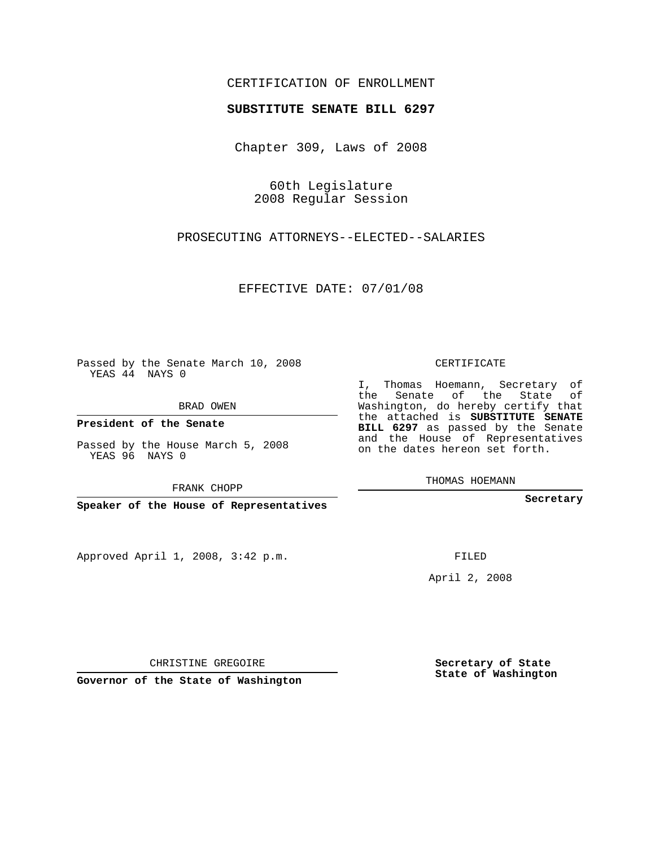## CERTIFICATION OF ENROLLMENT

### **SUBSTITUTE SENATE BILL 6297**

Chapter 309, Laws of 2008

60th Legislature 2008 Regular Session

PROSECUTING ATTORNEYS--ELECTED--SALARIES

EFFECTIVE DATE: 07/01/08

Passed by the Senate March 10, 2008 YEAS 44 NAYS 0

BRAD OWEN

**President of the Senate**

Passed by the House March 5, 2008 YEAS 96 NAYS 0

FRANK CHOPP

**Speaker of the House of Representatives**

Approved April 1, 2008, 3:42 p.m.

CERTIFICATE

I, Thomas Hoemann, Secretary of the Senate of the State of Washington, do hereby certify that the attached is **SUBSTITUTE SENATE BILL 6297** as passed by the Senate and the House of Representatives on the dates hereon set forth.

THOMAS HOEMANN

**Secretary**

FILED

April 2, 2008

**Secretary of State State of Washington**

CHRISTINE GREGOIRE

**Governor of the State of Washington**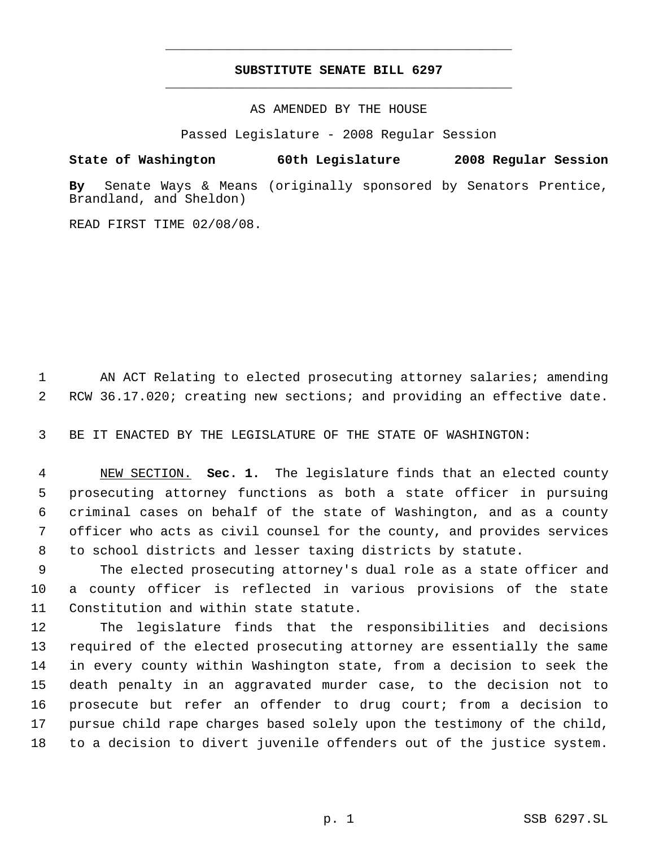# **SUBSTITUTE SENATE BILL 6297** \_\_\_\_\_\_\_\_\_\_\_\_\_\_\_\_\_\_\_\_\_\_\_\_\_\_\_\_\_\_\_\_\_\_\_\_\_\_\_\_\_\_\_\_\_

\_\_\_\_\_\_\_\_\_\_\_\_\_\_\_\_\_\_\_\_\_\_\_\_\_\_\_\_\_\_\_\_\_\_\_\_\_\_\_\_\_\_\_\_\_

AS AMENDED BY THE HOUSE

Passed Legislature - 2008 Regular Session

### **State of Washington 60th Legislature 2008 Regular Session**

**By** Senate Ways & Means (originally sponsored by Senators Prentice, Brandland, and Sheldon)

READ FIRST TIME 02/08/08.

1 AN ACT Relating to elected prosecuting attorney salaries; amending 2 RCW 36.17.020; creating new sections; and providing an effective date.

3 BE IT ENACTED BY THE LEGISLATURE OF THE STATE OF WASHINGTON:

 NEW SECTION. **Sec. 1.** The legislature finds that an elected county prosecuting attorney functions as both a state officer in pursuing criminal cases on behalf of the state of Washington, and as a county officer who acts as civil counsel for the county, and provides services to school districts and lesser taxing districts by statute.

 9 The elected prosecuting attorney's dual role as a state officer and 10 a county officer is reflected in various provisions of the state 11 Constitution and within state statute.

 The legislature finds that the responsibilities and decisions required of the elected prosecuting attorney are essentially the same in every county within Washington state, from a decision to seek the death penalty in an aggravated murder case, to the decision not to prosecute but refer an offender to drug court; from a decision to pursue child rape charges based solely upon the testimony of the child, to a decision to divert juvenile offenders out of the justice system.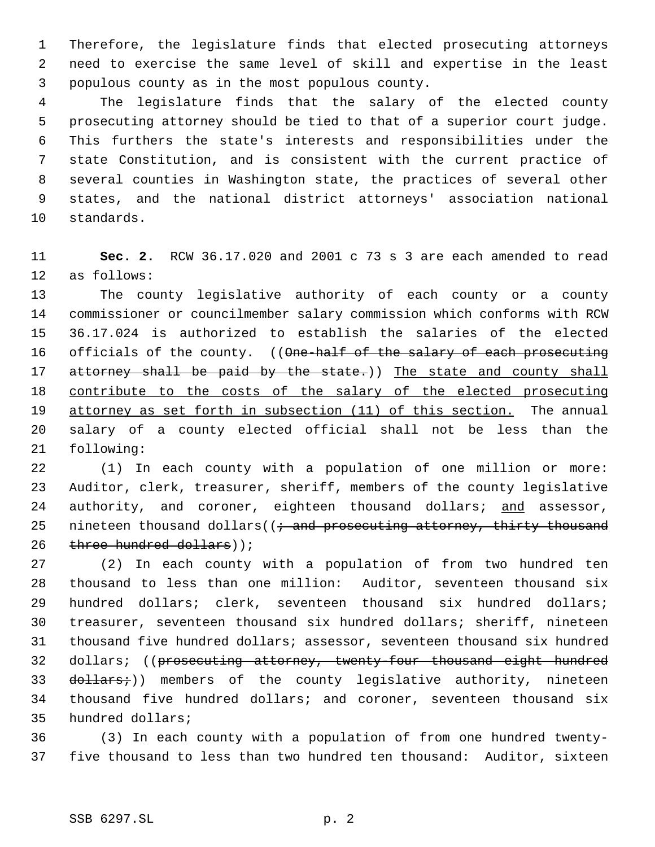Therefore, the legislature finds that elected prosecuting attorneys need to exercise the same level of skill and expertise in the least populous county as in the most populous county.

 The legislature finds that the salary of the elected county prosecuting attorney should be tied to that of a superior court judge. This furthers the state's interests and responsibilities under the state Constitution, and is consistent with the current practice of several counties in Washington state, the practices of several other states, and the national district attorneys' association national standards.

 **Sec. 2.** RCW 36.17.020 and 2001 c 73 s 3 are each amended to read as follows:

 The county legislative authority of each county or a county commissioner or councilmember salary commission which conforms with RCW 36.17.024 is authorized to establish the salaries of the elected 16 officials of the county. ((One-half of the salary of each prosecuting 17 attorney shall be paid by the state.)) The state and county shall contribute to the costs of the salary of the elected prosecuting 19 attorney as set forth in subsection (11) of this section. The annual salary of a county elected official shall not be less than the following:

 (1) In each county with a population of one million or more: Auditor, clerk, treasurer, sheriff, members of the county legislative 24 authority, and coroner, eighteen thousand dollars; and assessor, 25 nineteen thousand dollars( $(i \cdot$  and prosecuting attorney, thirty thousand 26 three hundred dollars));

 (2) In each county with a population of from two hundred ten thousand to less than one million: Auditor, seventeen thousand six hundred dollars; clerk, seventeen thousand six hundred dollars; treasurer, seventeen thousand six hundred dollars; sheriff, nineteen thousand five hundred dollars; assessor, seventeen thousand six hundred 32 dollars; ((prosecuting attorney, twenty-four thousand eight hundred 33 dollars+)) members of the county legislative authority, nineteen thousand five hundred dollars; and coroner, seventeen thousand six hundred dollars;

 (3) In each county with a population of from one hundred twenty-five thousand to less than two hundred ten thousand: Auditor, sixteen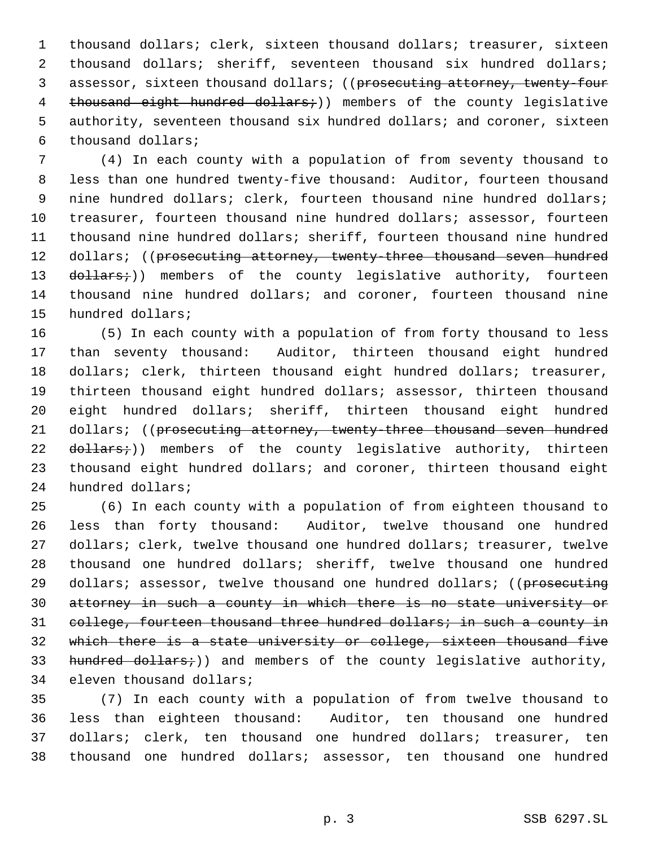thousand dollars; clerk, sixteen thousand dollars; treasurer, sixteen thousand dollars; sheriff, seventeen thousand six hundred dollars; 3 assessor, sixteen thousand dollars; ((prosecuting attorney, twenty-four 4 thousand eight hundred dollars;)) members of the county legislative authority, seventeen thousand six hundred dollars; and coroner, sixteen thousand dollars;

 (4) In each county with a population of from seventy thousand to less than one hundred twenty-five thousand: Auditor, fourteen thousand 9 nine hundred dollars; clerk, fourteen thousand nine hundred dollars; treasurer, fourteen thousand nine hundred dollars; assessor, fourteen thousand nine hundred dollars; sheriff, fourteen thousand nine hundred 12 dollars; ((prosecuting attorney, twenty-three thousand seven hundred 13 dollars;)) members of the county legislative authority, fourteen thousand nine hundred dollars; and coroner, fourteen thousand nine hundred dollars;

 (5) In each county with a population of from forty thousand to less than seventy thousand: Auditor, thirteen thousand eight hundred 18 dollars; clerk, thirteen thousand eight hundred dollars; treasurer, thirteen thousand eight hundred dollars; assessor, thirteen thousand eight hundred dollars; sheriff, thirteen thousand eight hundred 21 dollars; ((prosecuting attorney, twenty-three thousand seven hundred 22 dollars;)) members of the county legislative authority, thirteen thousand eight hundred dollars; and coroner, thirteen thousand eight hundred dollars;

 (6) In each county with a population of from eighteen thousand to less than forty thousand: Auditor, twelve thousand one hundred dollars; clerk, twelve thousand one hundred dollars; treasurer, twelve thousand one hundred dollars; sheriff, twelve thousand one hundred 29 dollars; assessor, twelve thousand one hundred dollars; ((prosecuting attorney in such a county in which there is no state university or 31 college, fourteen thousand three hundred dollars; in such a county in which there is a state university or college, sixteen thousand five 33 hundred dollars;)) and members of the county legislative authority, eleven thousand dollars;

 (7) In each county with a population of from twelve thousand to less than eighteen thousand: Auditor, ten thousand one hundred dollars; clerk, ten thousand one hundred dollars; treasurer, ten thousand one hundred dollars; assessor, ten thousand one hundred